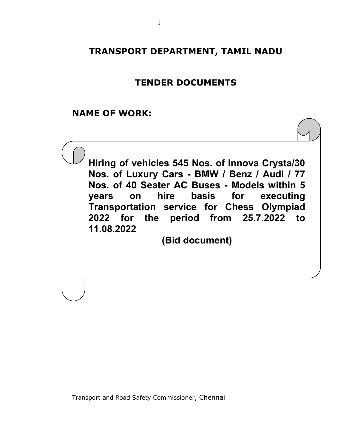# TRANSPORT DEPARTMENT, TAMIL NADU

# TENDER DOCUMENTS

# NAME OF WORK:

Hiring of vehicles 545 Nos. of Innova Crysta/30 Nos. of Luxury Cars - BMW / Benz / Audi / 77 Nos. of 40 Seater AC Buses - Models within 5 years on hire basis for executing Transportation service for Chess Olympiad 2022 for the period from 25.7.2022 to 11.08.2022

(Bid document)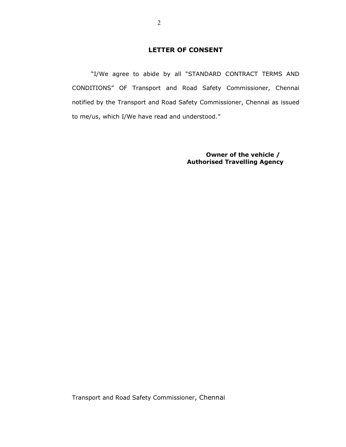## LETTER OF CONSENT

 "I/We agree to abide by all "STANDARD CONTRACT TERMS AND CONDITIONS" OF Transport and Road Safety Commissioner, Chennai notified by the Transport and Road Safety Commissioner, Chennai as issued to me/us, which I/We have read and understood."

> Owner of the vehicle / Authorised Travelling Agency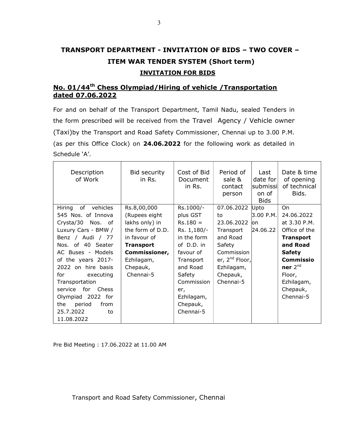# TRANSPORT DEPARTMENT - INVITATION OF BIDS – TWO COVER – ITEM WAR TENDER SYSTEM (Short term) INVITATION FOR BIDS

## No. 01/44<sup>th</sup> Chess Olympiad/Hiring of vehicle /Transportation dated 07.06.2022

For and on behalf of the Transport Department, Tamil Nadu, sealed Tenders in the form prescribed will be received from the Travel Agency / Vehicle owner (Taxi)by the Transport and Road Safety Commissioner, Chennai up to 3.00 P.M. (as per this Office Clock) on 24.06.2022 for the following work as detailed in Schedule 'A'.

| Description<br>of Work   | Bid security<br>in Rs. | Cost of Bid<br>Document<br>in Rs. | Period of<br>sale &<br>contact<br>person | Last<br>date for<br>lsubmissi∣<br>on of<br><b>Bids</b> | Date & time<br>of opening<br>of technical<br>Bids. |
|--------------------------|------------------------|-----------------------------------|------------------------------------------|--------------------------------------------------------|----------------------------------------------------|
| Hiring<br>of<br>vehicles | Rs.8,00,000            | Rs.1000/-                         | 07.06.2022                               | Upto                                                   | On                                                 |
| 545 Nos. of Innova       | (Rupees eight)         | plus GST                          | to                                       | 3.00 P.M.                                              | 24.06.2022                                         |
| Crysta/30 Nos. of        | lakhs only) in         | $Rs.180 =$                        | 23.06.2022                               | lon                                                    | at 3.30 P.M.                                       |
| Luxury Cars - BMW /      | the form of D.D.       | Rs. 1,180/-                       | Transport                                | 24.06.22                                               | Office of the                                      |
| Benz / Audi / 77         | in favour of           | in the form                       | and Road                                 |                                                        | <b>Transport</b>                                   |
| Nos. of 40 Seater        | <b>Transport</b>       | of D.D. in                        | Safety                                   |                                                        | and Road                                           |
| AC Buses - Models        | Commissioner,          | favour of                         | Commission                               |                                                        | <b>Safety</b>                                      |
| of the years 2017-       | Ezhilagam,             | Transport                         | er, $2^{nd}$ Floor,                      |                                                        | Commissio                                          |
| 2022 on hire basis       | Chepauk,               | and Road                          | Ezhilagam,                               |                                                        | ner $2^{nd}$                                       |
| for<br>executing         | Chennai-5              | Safety                            | Chepauk,                                 |                                                        | Floor,                                             |
| Transportation           |                        | Commission                        | Chennai-5                                |                                                        | Ezhilagam,                                         |
| for<br>Chess<br>service  |                        | er,                               |                                          |                                                        | Chepauk,                                           |
| Olympiad 2022 for        |                        | Ezhilagam,                        |                                          |                                                        | Chennai-5                                          |
| the<br>period<br>from    |                        | Chepauk,                          |                                          |                                                        |                                                    |
| 25.7.2022<br>to          |                        | Chennai-5                         |                                          |                                                        |                                                    |
| 11.08.2022               |                        |                                   |                                          |                                                        |                                                    |

Pre Bid Meeting : 17.06.2022 at 11.00 AM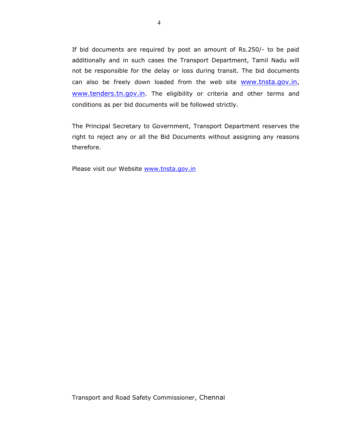If bid documents are required by post an amount of Rs.250/- to be paid additionally and in such cases the Transport Department, Tamil Nadu will not be responsible for the delay or loss during transit. The bid documents can also be freely down loaded from the web site www.tnsta.gov.in, www.tenders.tn.gov.in</u>. The eligibility or criteria and other terms and conditions as per bid documents will be followed strictly.

The Principal Secretary to Government, Transport Department reserves the right to reject any or all the Bid Documents without assigning any reasons therefore.

Please visit our Website www.tnsta.gov.in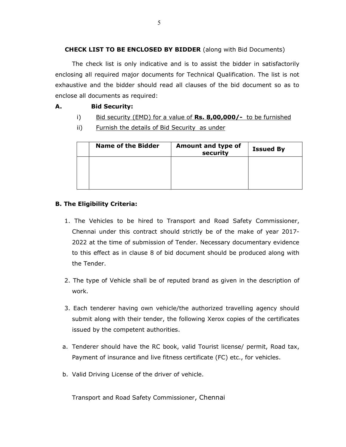## CHECK LIST TO BE ENCLOSED BY BIDDER (along with Bid Documents)

The check list is only indicative and is to assist the bidder in satisfactorily enclosing all required major documents for Technical Qualification. The list is not exhaustive and the bidder should read all clauses of the bid document so as to enclose all documents as required:

## A. Bid Security:

- i) Bid security (EMD) for a value of  $\text{Rs. } 8,00,000$ /- to be furnished
- ii) Furnish the details of Bid Security as under

| <b>Name of the Bidder</b> | Amount and type of<br>security | <b>Issued By</b> |
|---------------------------|--------------------------------|------------------|
|                           |                                |                  |
|                           |                                |                  |
|                           |                                |                  |

## B. The Eligibility Criteria:

- 1. The Vehicles to be hired to Transport and Road Safety Commissioner, Chennai under this contract should strictly be of the make of year 2017- 2022 at the time of submission of Tender. Necessary documentary evidence to this effect as in clause 8 of bid document should be produced along with the Tender.
- 2. The type of Vehicle shall be of reputed brand as given in the description of work.
- 3. Each tenderer having own vehicle/the authorized travelling agency should submit along with their tender, the following Xerox copies of the certificates issued by the competent authorities.
- a. Tenderer should have the RC book, valid Tourist license/ permit, Road tax, Payment of insurance and live fitness certificate (FC) etc., for vehicles.
- b. Valid Driving License of the driver of vehicle.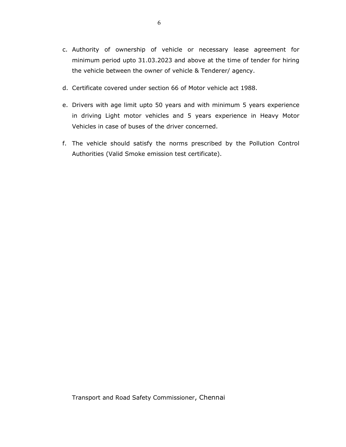- c. Authority of ownership of vehicle or necessary lease agreement for minimum period upto 31.03.2023 and above at the time of tender for hiring the vehicle between the owner of vehicle & Tenderer/ agency.
- d. Certificate covered under section 66 of Motor vehicle act 1988.
- e. Drivers with age limit upto 50 years and with minimum 5 years experience in driving Light motor vehicles and 5 years experience in Heavy Motor Vehicles in case of buses of the driver concerned.
- f. The vehicle should satisfy the norms prescribed by the Pollution Control Authorities (Valid Smoke emission test certificate).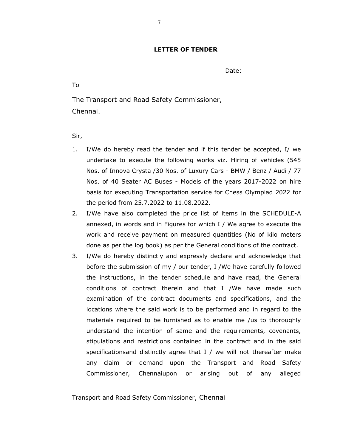### LETTER OF TENDER

Date:

To

The Transport and Road Safety Commissioner, Chennai.

Sir,

- 1. I/We do hereby read the tender and if this tender be accepted, I/ we undertake to execute the following works viz. Hiring of vehicles (545 Nos. of Innova Crysta /30 Nos. of Luxury Cars - BMW / Benz / Audi / 77 Nos. of 40 Seater AC Buses - Models of the years 2017-2022 on hire basis for executing Transportation service for Chess Olympiad 2022 for the period from 25.7.2022 to 11.08.2022.
- 2. I/We have also completed the price list of items in the SCHEDULE-A annexed, in words and in Figures for which I / We agree to execute the work and receive payment on measured quantities (No of kilo meters done as per the log book) as per the General conditions of the contract.
- 3. I/We do hereby distinctly and expressly declare and acknowledge that before the submission of my / our tender, I /We have carefully followed the instructions, in the tender schedule and have read, the General conditions of contract therein and that I /We have made such examination of the contract documents and specifications, and the locations where the said work is to be performed and in regard to the materials required to be furnished as to enable me /us to thoroughly understand the intention of same and the requirements, covenants, stipulations and restrictions contained in the contract and in the said specificationsand distinctly agree that  $I /$  we will not thereafter make any claim or demand upon the Transport and Road Safety Commissioner, Chennaiupon or arising out of any alleged

Transport and Road Safety Commissioner, Chennai

7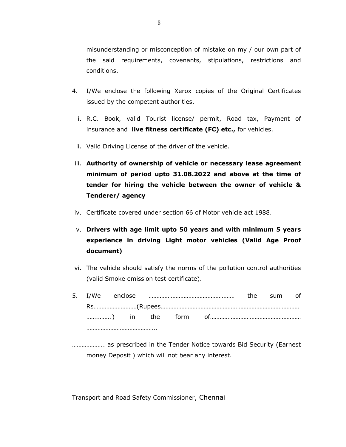misunderstanding or misconception of mistake on my / our own part of the said requirements, covenants, stipulations, restrictions and conditions.

- 4. I/We enclose the following Xerox copies of the Original Certificates issued by the competent authorities.
	- i. R.C. Book, valid Tourist license/ permit, Road tax, Payment of insurance and live fitness certificate (FC) etc., for vehicles.
	- ii. Valid Driving License of the driver of the vehicle.
- iii. Authority of ownership of vehicle or necessary lease agreement minimum of period upto 31.08.2022 and above at the time of tender for hiring the vehicle between the owner of vehicle & Tenderer/ agency
- iv. Certificate covered under section 66 of Motor vehicle act 1988.
- v. Drivers with age limit upto 50 years and with minimum 5 years experience in driving Light motor vehicles (Valid Age Proof document)
- vi. The vehicle should satisfy the norms of the pollution control authorities (valid Smoke emission test certificate).
- 5. I/We enclose ……………………………………………… the sum of Rs………………………(Rupees…………………………………………………………………………… …….……..) in the form of………………………………………………… ………………………………………

……………….. as prescribed in the Tender Notice towards Bid Security (Earnest money Deposit ) which will not bear any interest.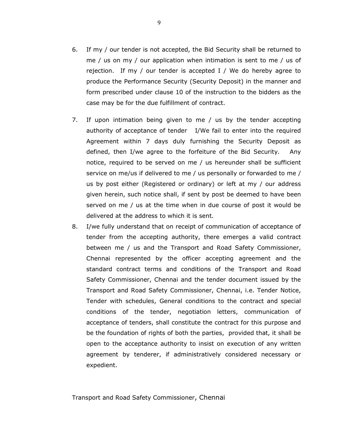- 6. If my / our tender is not accepted, the Bid Security shall be returned to me / us on my / our application when intimation is sent to me / us of rejection. If my / our tender is accepted I / We do hereby agree to produce the Performance Security (Security Deposit) in the manner and form prescribed under clause 10 of the instruction to the bidders as the case may be for the due fulfillment of contract.
- 7. If upon intimation being given to me / us by the tender accepting authority of acceptance of tender I/We fail to enter into the required Agreement within 7 days duly furnishing the Security Deposit as defined, then I/we agree to the forfeiture of the Bid Security. Any notice, required to be served on me / us hereunder shall be sufficient service on me/us if delivered to me / us personally or forwarded to me / us by post either (Registered or ordinary) or left at my / our address given herein, such notice shall, if sent by post be deemed to have been served on me / us at the time when in due course of post it would be delivered at the address to which it is sent.
- 8. I/we fully understand that on receipt of communication of acceptance of tender from the accepting authority, there emerges a valid contract between me / us and the Transport and Road Safety Commissioner, Chennai represented by the officer accepting agreement and the standard contract terms and conditions of the Transport and Road Safety Commissioner, Chennai and the tender document issued by the Transport and Road Safety Commissioner, Chennai, i.e. Tender Notice, Tender with schedules, General conditions to the contract and special conditions of the tender, negotiation letters, communication of acceptance of tenders, shall constitute the contract for this purpose and be the foundation of rights of both the parties, provided that, it shall be open to the acceptance authority to insist on execution of any written agreement by tenderer, if administratively considered necessary or expedient.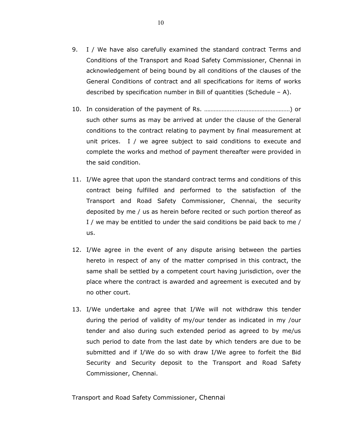- 9. I / We have also carefully examined the standard contract Terms and Conditions of the Transport and Road Safety Commissioner, Chennai in acknowledgement of being bound by all conditions of the clauses of the General Conditions of contract and all specifications for items of works described by specification number in Bill of quantities (Schedule  $- A$ ).
- 10. In consideration of the payment of Rs. …………………..…………………………) or such other sums as may be arrived at under the clause of the General conditions to the contract relating to payment by final measurement at unit prices. I / we agree subject to said conditions to execute and complete the works and method of payment thereafter were provided in the said condition.
- 11. I/We agree that upon the standard contract terms and conditions of this contract being fulfilled and performed to the satisfaction of the Transport and Road Safety Commissioner, Chennai, the security deposited by me / us as herein before recited or such portion thereof as I / we may be entitled to under the said conditions be paid back to me / us.
- 12. I/We agree in the event of any dispute arising between the parties hereto in respect of any of the matter comprised in this contract, the same shall be settled by a competent court having jurisdiction, over the place where the contract is awarded and agreement is executed and by no other court.
- 13. I/We undertake and agree that I/We will not withdraw this tender during the period of validity of my/our tender as indicated in my /our tender and also during such extended period as agreed to by me/us such period to date from the last date by which tenders are due to be submitted and if I/We do so with draw I/We agree to forfeit the Bid Security and Security deposit to the Transport and Road Safety Commissioner, Chennai.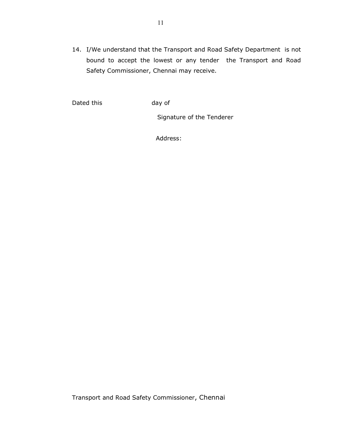14. I/We understand that the Transport and Road Safety Department is not bound to accept the lowest or any tender the Transport and Road Safety Commissioner, Chennai may receive.

Dated this day of

Signature of the Tenderer

Address: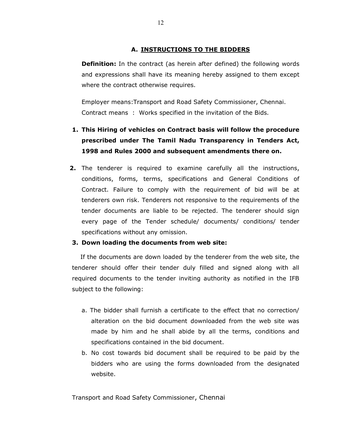## A. INSTRUCTIONS TO THE BIDDERS

**Definition:** In the contract (as herein after defined) the following words and expressions shall have its meaning hereby assigned to them except where the contract otherwise requires.

Employer means:Transport and Road Safety Commissioner, Chennai. Contract means : Works specified in the invitation of the Bids.

- 1. This Hiring of vehicles on Contract basis will follow the procedure prescribed under The Tamil Nadu Transparency in Tenders Act, 1998 and Rules 2000 and subsequent amendments there on.
- 2. The tenderer is required to examine carefully all the instructions, conditions, forms, terms, specifications and General Conditions of Contract. Failure to comply with the requirement of bid will be at tenderers own risk. Tenderers not responsive to the requirements of the tender documents are liable to be rejected. The tenderer should sign every page of the Tender schedule/ documents/ conditions/ tender specifications without any omission.

### 3. Down loading the documents from web site:

If the documents are down loaded by the tenderer from the web site, the tenderer should offer their tender duly filled and signed along with all required documents to the tender inviting authority as notified in the IFB subject to the following:

- a. The bidder shall furnish a certificate to the effect that no correction/ alteration on the bid document downloaded from the web site was made by him and he shall abide by all the terms, conditions and specifications contained in the bid document.
- b. No cost towards bid document shall be required to be paid by the bidders who are using the forms downloaded from the designated website.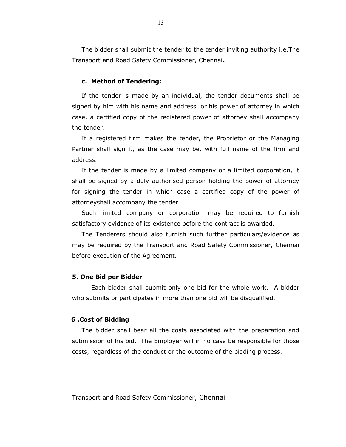The bidder shall submit the tender to the tender inviting authority i.e.The Transport and Road Safety Commissioner, Chennai.

#### c. Method of Tendering:

If the tender is made by an individual, the tender documents shall be signed by him with his name and address, or his power of attorney in which case, a certified copy of the registered power of attorney shall accompany the tender.

If a registered firm makes the tender, the Proprietor or the Managing Partner shall sign it, as the case may be, with full name of the firm and address.

If the tender is made by a limited company or a limited corporation, it shall be signed by a duly authorised person holding the power of attorney for signing the tender in which case a certified copy of the power of attorneyshall accompany the tender.

Such limited company or corporation may be required to furnish satisfactory evidence of its existence before the contract is awarded.

The Tenderers should also furnish such further particulars/evidence as may be required by the Transport and Road Safety Commissioner, Chennai before execution of the Agreement.

#### 5. One Bid per Bidder

Each bidder shall submit only one bid for the whole work. A bidder who submits or participates in more than one bid will be disqualified.

#### 6 .Cost of Bidding

The bidder shall bear all the costs associated with the preparation and submission of his bid. The Employer will in no case be responsible for those costs, regardless of the conduct or the outcome of the bidding process.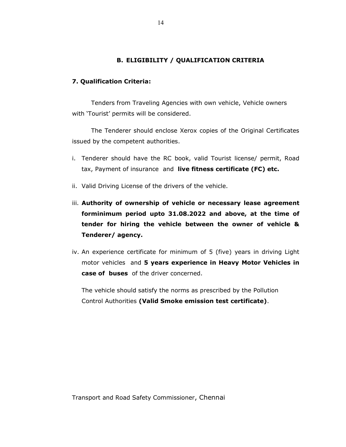## B. ELIGIBILITY / QUALIFICATION CRITERIA

#### 7. Qualification Criteria:

 Tenders from Traveling Agencies with own vehicle, Vehicle owners with 'Tourist' permits will be considered.

The Tenderer should enclose Xerox copies of the Original Certificates issued by the competent authorities.

- i. Tenderer should have the RC book, valid Tourist license/ permit, Road tax, Payment of insurance and live fitness certificate (FC) etc.
- ii. Valid Driving License of the drivers of the vehicle.
- iii. Authority of ownership of vehicle or necessary lease agreement forminimum period upto 31.08.2022 and above, at the time of tender for hiring the vehicle between the owner of vehicle & Tenderer/ agency.
- iv. An experience certificate for minimum of 5 (five) years in driving Light motor vehicles and 5 years experience in Heavy Motor Vehicles in case of buses of the driver concerned.

The vehicle should satisfy the norms as prescribed by the Pollution Control Authorities (Valid Smoke emission test certificate).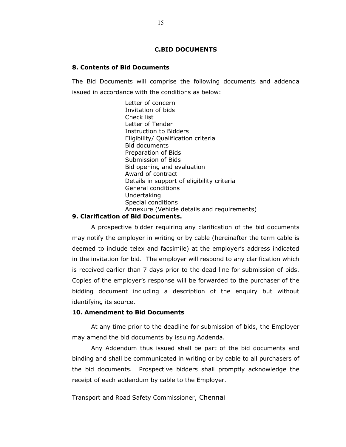#### C.BID DOCUMENTS

#### 8. Contents of Bid Documents

The Bid Documents will comprise the following documents and addenda issued in accordance with the conditions as below:

> Letter of concern Invitation of bids Check list Letter of Tender Instruction to Bidders Eligibility/ Qualification criteria Bid documents Preparation of Bids Submission of Bids Bid opening and evaluation Award of contract Details in support of eligibility criteria General conditions Undertaking Special conditions Annexure (Vehicle details and requirements)

#### 9. Clarification of Bid Documents.

A prospective bidder requiring any clarification of the bid documents may notify the employer in writing or by cable (hereinafter the term cable is deemed to include telex and facsimile) at the employer's address indicated in the invitation for bid. The employer will respond to any clarification which is received earlier than 7 days prior to the dead line for submission of bids. Copies of the employer's response will be forwarded to the purchaser of the bidding document including a description of the enquiry but without identifying its source.

#### 10. Amendment to Bid Documents

At any time prior to the deadline for submission of bids, the Employer may amend the bid documents by issuing Addenda.

Any Addendum thus issued shall be part of the bid documents and binding and shall be communicated in writing or by cable to all purchasers of the bid documents. Prospective bidders shall promptly acknowledge the receipt of each addendum by cable to the Employer.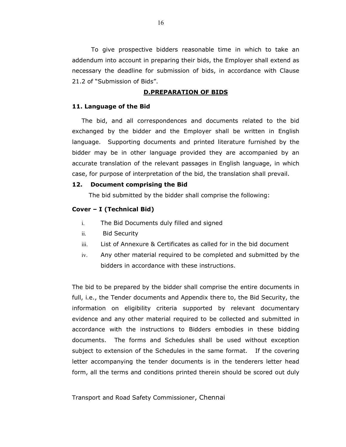To give prospective bidders reasonable time in which to take an addendum into account in preparing their bids, the Employer shall extend as necessary the deadline for submission of bids, in accordance with Clause 21.2 of "Submission of Bids".

#### D.PREPARATION OF BIDS

#### 11. Language of the Bid

The bid, and all correspondences and documents related to the bid exchanged by the bidder and the Employer shall be written in English language. Supporting documents and printed literature furnished by the bidder may be in other language provided they are accompanied by an accurate translation of the relevant passages in English language, in which case, for purpose of interpretation of the bid, the translation shall prevail.

#### 12. Document comprising the Bid

The bid submitted by the bidder shall comprise the following:

#### Cover – I (Technical Bid)

- i. The Bid Documents duly filled and signed
- ii. Bid Security
- iii. List of Annexure & Certificates as called for in the bid document
- iv. Any other material required to be completed and submitted by the bidders in accordance with these instructions.

The bid to be prepared by the bidder shall comprise the entire documents in full, i.e., the Tender documents and Appendix there to, the Bid Security, the information on eligibility criteria supported by relevant documentary evidence and any other material required to be collected and submitted in accordance with the instructions to Bidders embodies in these bidding documents. The forms and Schedules shall be used without exception subject to extension of the Schedules in the same format. If the covering letter accompanying the tender documents is in the tenderers letter head form, all the terms and conditions printed therein should be scored out duly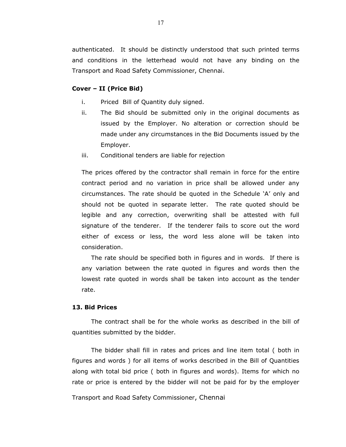authenticated. It should be distinctly understood that such printed terms and conditions in the letterhead would not have any binding on the Transport and Road Safety Commissioner, Chennai.

#### Cover – II (Price Bid)

- i. Priced Bill of Quantity duly signed.
- ii. The Bid should be submitted only in the original documents as issued by the Employer. No alteration or correction should be made under any circumstances in the Bid Documents issued by the Employer.
- iii. Conditional tenders are liable for rejection

The prices offered by the contractor shall remain in force for the entire contract period and no variation in price shall be allowed under any circumstances. The rate should be quoted in the Schedule 'A' only and should not be quoted in separate letter. The rate quoted should be legible and any correction, overwriting shall be attested with full signature of the tenderer. If the tenderer fails to score out the word either of excess or less, the word less alone will be taken into consideration.

 The rate should be specified both in figures and in words. If there is any variation between the rate quoted in figures and words then the lowest rate quoted in words shall be taken into account as the tender rate.

#### 13. Bid Prices

The contract shall be for the whole works as described in the bill of quantities submitted by the bidder.

The bidder shall fill in rates and prices and line item total ( both in figures and words ) for all items of works described in the Bill of Quantities along with total bid price ( both in figures and words). Items for which no rate or price is entered by the bidder will not be paid for by the employer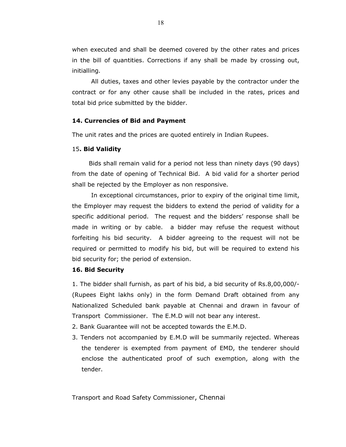when executed and shall be deemed covered by the other rates and prices in the bill of quantities. Corrections if any shall be made by crossing out, initialling.

All duties, taxes and other levies payable by the contractor under the contract or for any other cause shall be included in the rates, prices and total bid price submitted by the bidder.

#### 14. Currencies of Bid and Payment

The unit rates and the prices are quoted entirely in Indian Rupees.

#### 15. Bid Validity

 Bids shall remain valid for a period not less than ninety days (90 days) from the date of opening of Technical Bid. A bid valid for a shorter period shall be rejected by the Employer as non responsive.

In exceptional circumstances, prior to expiry of the original time limit, the Employer may request the bidders to extend the period of validity for a specific additional period. The request and the bidders' response shall be made in writing or by cable. a bidder may refuse the request without forfeiting his bid security. A bidder agreeing to the request will not be required or permitted to modify his bid, but will be required to extend his bid security for; the period of extension.

#### 16. Bid Security

1. The bidder shall furnish, as part of his bid, a bid security of Rs.8,00,000/- (Rupees Eight lakhs only) in the form Demand Draft obtained from any Nationalized Scheduled bank payable at Chennai and drawn in favour of Transport Commissioner. The E.M.D will not bear any interest.

- 2. Bank Guarantee will not be accepted towards the E.M.D.
- 3. Tenders not accompanied by E.M.D will be summarily rejected. Whereas the tenderer is exempted from payment of EMD, the tenderer should enclose the authenticated proof of such exemption, along with the tender.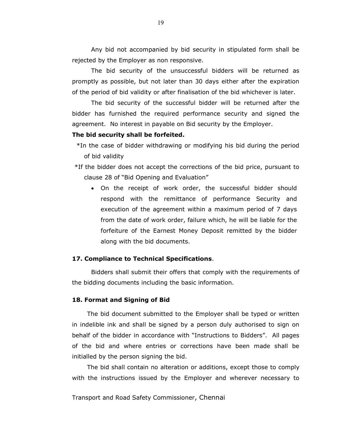Any bid not accompanied by bid security in stipulated form shall be rejected by the Employer as non responsive.

The bid security of the unsuccessful bidders will be returned as promptly as possible, but not later than 30 days either after the expiration of the period of bid validity or after finalisation of the bid whichever is later.

The bid security of the successful bidder will be returned after the bidder has furnished the required performance security and signed the agreement. No interest in payable on Bid security by the Employer.

#### The bid security shall be forfeited.

- \*In the case of bidder withdrawing or modifying his bid during the period of bid validity
- \*If the bidder does not accept the corrections of the bid price, pursuant to clause 28 of "Bid Opening and Evaluation"
	- On the receipt of work order, the successful bidder should respond with the remittance of performance Security and execution of the agreement within a maximum period of 7 days from the date of work order, failure which, he will be liable for the forfeiture of the Earnest Money Deposit remitted by the bidder along with the bid documents.

#### 17. Compliance to Technical Specifications.

Bidders shall submit their offers that comply with the requirements of the bidding documents including the basic information.

#### 18. Format and Signing of Bid

The bid document submitted to the Employer shall be typed or written in indelible ink and shall be signed by a person duly authorised to sign on behalf of the bidder in accordance with "Instructions to Bidders". All pages of the bid and where entries or corrections have been made shall be initialled by the person signing the bid.

The bid shall contain no alteration or additions, except those to comply with the instructions issued by the Employer and wherever necessary to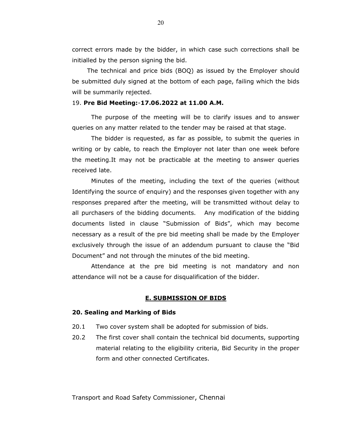correct errors made by the bidder, in which case such corrections shall be initialled by the person signing the bid.

The technical and price bids (BOQ) as issued by the Employer should be submitted duly signed at the bottom of each page, failing which the bids will be summarily rejected.

#### 19. Pre Bid Meeting:-17.06.2022 at 11.00 A.M.

The purpose of the meeting will be to clarify issues and to answer queries on any matter related to the tender may be raised at that stage.

The bidder is requested, as far as possible, to submit the queries in writing or by cable, to reach the Employer not later than one week before the meeting.It may not be practicable at the meeting to answer queries received late.

Minutes of the meeting, including the text of the queries (without Identifying the source of enquiry) and the responses given together with any responses prepared after the meeting, will be transmitted without delay to all purchasers of the bidding documents. Any modification of the bidding documents listed in clause "Submission of Bids", which may become necessary as a result of the pre bid meeting shall be made by the Employer exclusively through the issue of an addendum pursuant to clause the "Bid Document" and not through the minutes of the bid meeting.

Attendance at the pre bid meeting is not mandatory and non attendance will not be a cause for disqualification of the bidder.

#### E. SUBMISSION OF BIDS

#### 20. Sealing and Marking of Bids

- 20.1 Two cover system shall be adopted for submission of bids.
- 20.2 The first cover shall contain the technical bid documents, supporting material relating to the eligibility criteria, Bid Security in the proper form and other connected Certificates.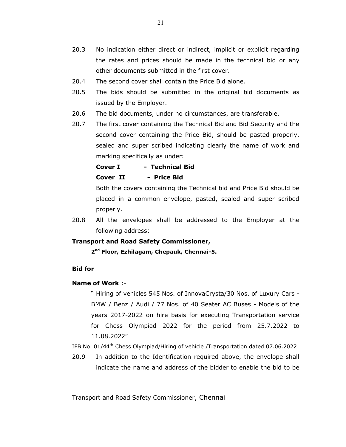- 20.3 No indication either direct or indirect, implicit or explicit regarding the rates and prices should be made in the technical bid or any other documents submitted in the first cover.
- 20.4 The second cover shall contain the Price Bid alone.
- 20.5 The bids should be submitted in the original bid documents as issued by the Employer.
- 20.6 The bid documents, under no circumstances, are transferable.
- 20.7 The first cover containing the Technical Bid and Bid Security and the second cover containing the Price Bid, should be pasted properly, sealed and super scribed indicating clearly the name of work and marking specifically as under:

## Cover I - Technical Bid Cover II - Price Bid

Both the covers containing the Technical bid and Price Bid should be placed in a common envelope, pasted, sealed and super scribed properly.

20.8 All the envelopes shall be addressed to the Employer at the following address:

#### Transport and Road Safety Commissioner,

2<sup>nd</sup> Floor, Ezhilagam, Chepauk, Chennai-5.

#### Bid for

#### Name of Work :-

" Hiring of vehicles 545 Nos. of InnovaCrysta/30 Nos. of Luxury Cars - BMW / Benz / Audi / 77 Nos. of 40 Seater AC Buses - Models of the years 2017-2022 on hire basis for executing Transportation service for Chess Olympiad 2022 for the period from 25.7.2022 to 11.08.2022"

IFB No. 01/44th Chess Olympiad/Hiring of vehicle /Transportation dated 07.06.2022

20.9 In addition to the Identification required above, the envelope shall indicate the name and address of the bidder to enable the bid to be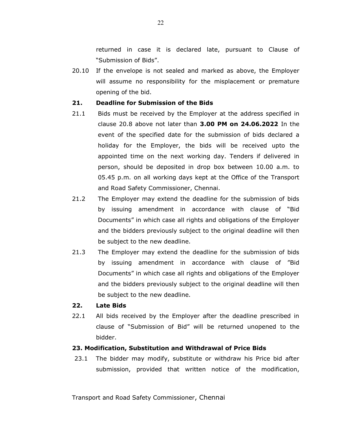returned in case it is declared late, pursuant to Clause of "Submission of Bids".

20.10 If the envelope is not sealed and marked as above, the Employer will assume no responsibility for the misplacement or premature opening of the bid.

#### 21. Deadline for Submission of the Bids

- 21.1 Bids must be received by the Employer at the address specified in clause 20.8 above not later than 3.00 PM on 24.06.2022 In the event of the specified date for the submission of bids declared a holiday for the Employer, the bids will be received upto the appointed time on the next working day. Tenders if delivered in person, should be deposited in drop box between 10.00 a.m. to 05.45 p.m. on all working days kept at the Office of the Transport and Road Safety Commissioner, Chennai.
- 21.2 The Employer may extend the deadline for the submission of bids by issuing amendment in accordance with clause of "Bid Documents" in which case all rights and obligations of the Employer and the bidders previously subject to the original deadline will then be subject to the new deadline.
- 21.3 The Employer may extend the deadline for the submission of bids by issuing amendment in accordance with clause of "Bid Documents" in which case all rights and obligations of the Employer and the bidders previously subject to the original deadline will then be subject to the new deadline.

#### 22. Late Bids

22.1 All bids received by the Employer after the deadline prescribed in clause of "Submission of Bid" will be returned unopened to the bidder.

#### 23. Modification, Substitution and Withdrawal of Price Bids

23.1 The bidder may modify, substitute or withdraw his Price bid after submission, provided that written notice of the modification,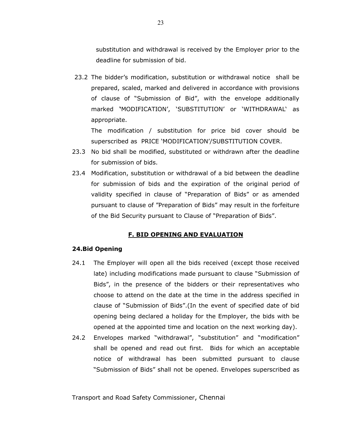substitution and withdrawal is received by the Employer prior to the deadline for submission of bid.

23.2 The bidder's modification, substitution or withdrawal notice shall be prepared, scaled, marked and delivered in accordance with provisions of clause of "Submission of Bid", with the envelope additionally marked 'MODIFICATION', 'SUBSTITUTION' or 'WITHDRAWAL' as appropriate.

The modification / substitution for price bid cover should be superscribed as PRICE 'MODIFICATION'/SUBSTITUTION COVER.

- 23.3 No bid shall be modified, substituted or withdrawn after the deadline for submission of bids.
- 23.4 Modification, substitution or withdrawal of a bid between the deadline for submission of bids and the expiration of the original period of validity specified in clause of "Preparation of Bids" or as amended pursuant to clause of "Preparation of Bids" may result in the forfeiture of the Bid Security pursuant to Clause of "Preparation of Bids".

## F. BID OPENING AND EVALUATION

#### 24.Bid Opening

- 24.1 The Employer will open all the bids received (except those received late) including modifications made pursuant to clause "Submission of Bids", in the presence of the bidders or their representatives who choose to attend on the date at the time in the address specified in clause of "Submission of Bids".(In the event of specified date of bid opening being declared a holiday for the Employer, the bids with be opened at the appointed time and location on the next working day).
- 24.2 Envelopes marked "withdrawal", "substitution" and "modification" shall be opened and read out first. Bids for which an acceptable notice of withdrawal has been submitted pursuant to clause "Submission of Bids" shall not be opened. Envelopes superscribed as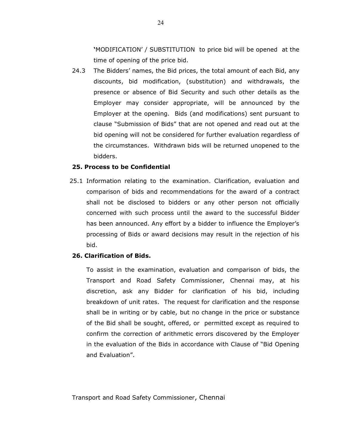'MODIFICATION' / SUBSTITUTION to price bid will be opened at the time of opening of the price bid.

24.3 The Bidders' names, the Bid prices, the total amount of each Bid, any discounts, bid modification, (substitution) and withdrawals, the presence or absence of Bid Security and such other details as the Employer may consider appropriate, will be announced by the Employer at the opening. Bids (and modifications) sent pursuant to clause "Submission of Bids" that are not opened and read out at the bid opening will not be considered for further evaluation regardless of the circumstances. Withdrawn bids will be returned unopened to the bidders.

#### 25. Process to be Confidential

25.1 Information relating to the examination. Clarification, evaluation and comparison of bids and recommendations for the award of a contract shall not be disclosed to bidders or any other person not officially concerned with such process until the award to the successful Bidder has been announced. Any effort by a bidder to influence the Employer's processing of Bids or award decisions may result in the rejection of his bid.

## 26. Clarification of Bids.

To assist in the examination, evaluation and comparison of bids, the Transport and Road Safety Commissioner, Chennai may, at his discretion, ask any Bidder for clarification of his bid, including breakdown of unit rates. The request for clarification and the response shall be in writing or by cable, but no change in the price or substance of the Bid shall be sought, offered, or permitted except as required to confirm the correction of arithmetic errors discovered by the Employer in the evaluation of the Bids in accordance with Clause of "Bid Opening and Evaluation".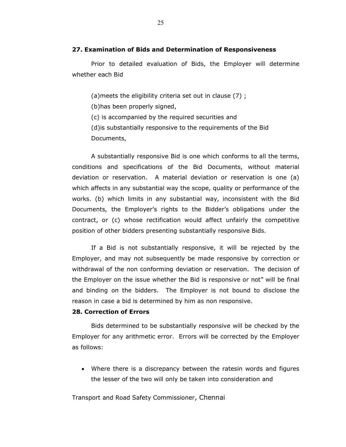#### 27. Examination of Bids and Determination of Responsiveness

Prior to detailed evaluation of Bids, the Employer will determine whether each Bid

(a)meets the eligibility criteria set out in clause (7) ;

(b)has been properly signed,

(c) is accompanied by the required securities and

(d)is substantially responsive to the requirements of the Bid

Documents,

A substantially responsive Bid is one which conforms to all the terms, conditions and specifications of the Bid Documents, without material deviation or reservation. A material deviation or reservation is one (a) which affects in any substantial way the scope, quality or performance of the works. (b) which limits in any substantial way, inconsistent with the Bid Documents, the Employer's rights to the Bidder's obligations under the contract, or (c) whose rectification would affect unfairly the competitive position of other bidders presenting substantially responsive Bids.

If a Bid is not substantially responsive, it will be rejected by the Employer, and may not subsequently be made responsive by correction or withdrawal of the non conforming deviation or reservation. The decision of the Employer on the issue whether the Bid is responsive or not" will be final and binding on the bidders. The Employer is not bound to disclose the reason in case a bid is determined by him as non responsive.

#### 28. Correction of Errors

Bids determined to be substantially responsive will be checked by the Employer for any arithmetic error. Errors will be corrected by the Employer as follows:

 Where there is a discrepancy between the ratesin words and figures the lesser of the two will only be taken into consideration and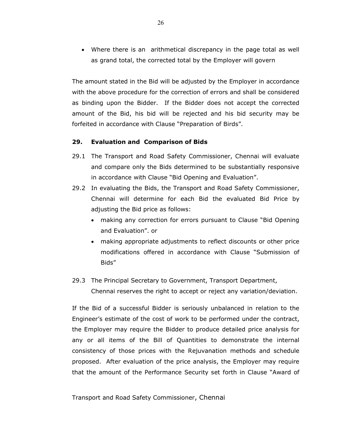Where there is an arithmetical discrepancy in the page total as well as grand total, the corrected total by the Employer will govern

The amount stated in the Bid will be adjusted by the Employer in accordance with the above procedure for the correction of errors and shall be considered as binding upon the Bidder. If the Bidder does not accept the corrected amount of the Bid, his bid will be rejected and his bid security may be forfeited in accordance with Clause "Preparation of Birds".

### 29. Evaluation and Comparison of Bids

- 29.1 The Transport and Road Safety Commissioner, Chennai will evaluate and compare only the Bids determined to be substantially responsive in accordance with Clause "Bid Opening and Evaluation".
- 29.2 In evaluating the Bids, the Transport and Road Safety Commissioner, Chennai will determine for each Bid the evaluated Bid Price by adjusting the Bid price as follows:
	- making any correction for errors pursuant to Clause "Bid Opening and Evaluation". or
	- making appropriate adjustments to reflect discounts or other price modifications offered in accordance with Clause "Submission of Bids"
- 29.3 The Principal Secretary to Government, Transport Department, Chennai reserves the right to accept or reject any variation/deviation.

If the Bid of a successful Bidder is seriously unbalanced in relation to the Engineer's estimate of the cost of work to be performed under the contract, the Employer may require the Bidder to produce detailed price analysis for any or all items of the Bill of Quantities to demonstrate the internal consistency of those prices with the Rejuvanation methods and schedule proposed. After evaluation of the price analysis, the Employer may require that the amount of the Performance Security set forth in Clause "Award of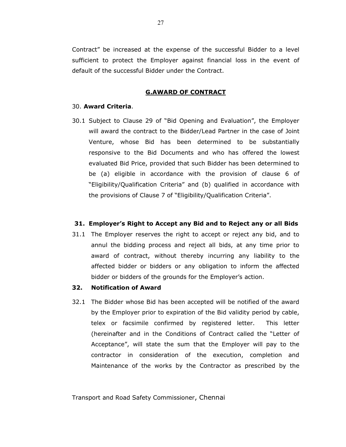Contract" be increased at the expense of the successful Bidder to a level sufficient to protect the Employer against financial loss in the event of default of the successful Bidder under the Contract.

#### G.AWARD OF CONTRACT

#### 30. Award Criteria.

30.1 Subject to Clause 29 of "Bid Opening and Evaluation", the Employer will award the contract to the Bidder/Lead Partner in the case of Joint Venture, whose Bid has been determined to be substantially responsive to the Bid Documents and who has offered the lowest evaluated Bid Price, provided that such Bidder has been determined to be (a) eligible in accordance with the provision of clause 6 of "Eligibility/Qualification Criteria" and (b) qualified in accordance with the provisions of Clause 7 of "Eligibility/Qualification Criteria".

#### 31. Employer's Right to Accept any Bid and to Reject any or all Bids

31.1 The Employer reserves the right to accept or reject any bid, and to annul the bidding process and reject all bids, at any time prior to award of contract, without thereby incurring any liability to the affected bidder or bidders or any obligation to inform the affected bidder or bidders of the grounds for the Employer's action.

#### 32. Notification of Award

32.1 The Bidder whose Bid has been accepted will be notified of the award by the Employer prior to expiration of the Bid validity period by cable, telex or facsimile confirmed by registered letter. This letter (hereinafter and in the Conditions of Contract called the "Letter of Acceptance", will state the sum that the Employer will pay to the contractor in consideration of the execution, completion and Maintenance of the works by the Contractor as prescribed by the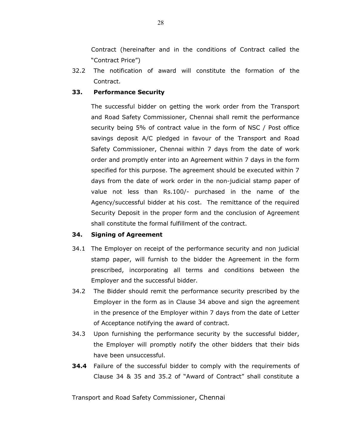Contract (hereinafter and in the conditions of Contract called the "Contract Price")

32.2 The notification of award will constitute the formation of the Contract.

### 33. Performance Security

The successful bidder on getting the work order from the Transport and Road Safety Commissioner, Chennai shall remit the performance security being 5% of contract value in the form of NSC / Post office savings deposit A/C pledged in favour of the Transport and Road Safety Commissioner, Chennai within 7 days from the date of work order and promptly enter into an Agreement within 7 days in the form specified for this purpose. The agreement should be executed within 7 days from the date of work order in the non-judicial stamp paper of value not less than Rs.100/- purchased in the name of the Agency/successful bidder at his cost. The remittance of the required Security Deposit in the proper form and the conclusion of Agreement shall constitute the formal fulfillment of the contract.

### 34. Signing of Agreement

- 34.1 The Employer on receipt of the performance security and non judicial stamp paper, will furnish to the bidder the Agreement in the form prescribed, incorporating all terms and conditions between the Employer and the successful bidder.
- 34.2 The Bidder should remit the performance security prescribed by the Employer in the form as in Clause 34 above and sign the agreement in the presence of the Employer within 7 days from the date of Letter of Acceptance notifying the award of contract.
- 34.3 Upon furnishing the performance security by the successful bidder, the Employer will promptly notify the other bidders that their bids have been unsuccessful.
- **34.4** Failure of the successful bidder to comply with the requirements of Clause 34 & 35 and 35.2 of "Award of Contract" shall constitute a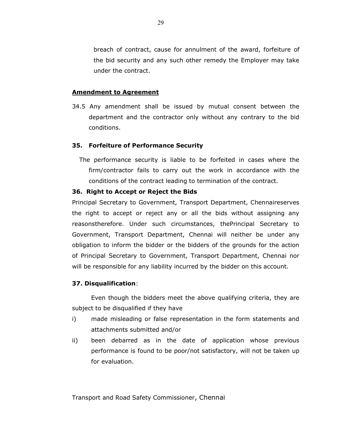breach of contract, cause for annulment of the award, forfeiture of the bid security and any such other remedy the Employer may take under the contract.

#### Amendment to Agreement

34.5 Any amendment shall be issued by mutual consent between the department and the contractor only without any contrary to the bid conditions.

#### 35. Forfeiture of Performance Security

The performance security is liable to be forfeited in cases where the firm/contractor fails to carry out the work in accordance with the conditions of the contract leading to termination of the contract.

#### 36. Right to Accept or Reject the Bids

Principal Secretary to Government, Transport Department, Chennaireserves the right to accept or reject any or all the bids without assigning any reasonstherefore. Under such circumstances, thePrincipal Secretary to Government, Transport Department, Chennai will neither be under any obligation to inform the bidder or the bidders of the grounds for the action of Principal Secretary to Government, Transport Department, Chennai nor will be responsible for any liability incurred by the bidder on this account.

#### 37. Disqualification:

 Even though the bidders meet the above qualifying criteria, they are subject to be disqualified if they have

- i) made misleading or false representation in the form statements and attachments submitted and/or
- ii) been debarred as in the date of application whose previous performance is found to be poor/not satisfactory, will not be taken up for evaluation.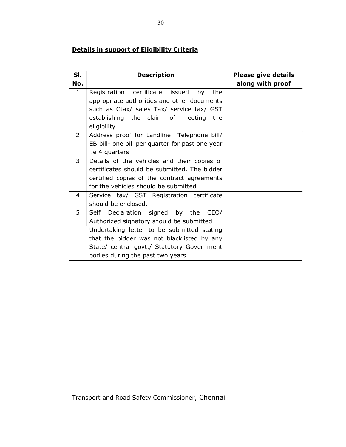## Details in support of Eligibility Criteria

| SI.            | <b>Description</b>                              | <b>Please give details</b> |
|----------------|-------------------------------------------------|----------------------------|
| No.            |                                                 | along with proof           |
| $\mathbf{1}$   | Registration certificate issued<br>by<br>the    |                            |
|                | appropriate authorities and other documents     |                            |
|                | such as Ctax/ sales Tax/ service tax/ GST       |                            |
|                | establishing the claim of meeting the           |                            |
|                | eligibility                                     |                            |
| $\overline{2}$ | Address proof for Landline Telephone bill/      |                            |
|                | EB bill- one bill per quarter for past one year |                            |
|                | i.e 4 quarters                                  |                            |
| 3              | Details of the vehicles and their copies of     |                            |
|                | certificates should be submitted. The bidder    |                            |
|                | certified copies of the contract agreements     |                            |
|                | for the vehicles should be submitted            |                            |
| 4              | Service tax/ GST Registration certificate       |                            |
|                | should be enclosed.                             |                            |
| 5              | Self Declaration signed by the CEO/             |                            |
|                | Authorized signatory should be submitted        |                            |
|                | Undertaking letter to be submitted stating      |                            |
|                | that the bidder was not blacklisted by any      |                            |
|                | State/ central govt./ Statutory Government      |                            |
|                | bodies during the past two years.               |                            |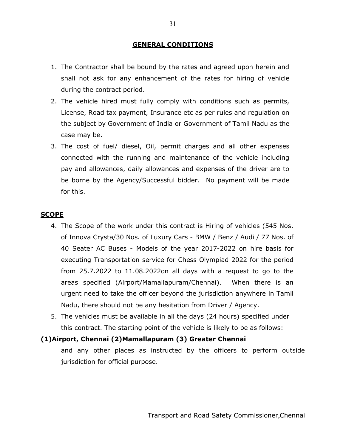## GENERAL CONDITIONS

- 1. The Contractor shall be bound by the rates and agreed upon herein and shall not ask for any enhancement of the rates for hiring of vehicle during the contract period.
- 2. The vehicle hired must fully comply with conditions such as permits, License, Road tax payment, Insurance etc as per rules and regulation on the subject by Government of India or Government of Tamil Nadu as the case may be.
- 3. The cost of fuel/ diesel, Oil, permit charges and all other expenses connected with the running and maintenance of the vehicle including pay and allowances, daily allowances and expenses of the driver are to be borne by the Agency/Successful bidder. No payment will be made for this.

## **SCOPE**

- 4. The Scope of the work under this contract is Hiring of vehicles (545 Nos. of Innova Crysta/30 Nos. of Luxury Cars - BMW / Benz / Audi / 77 Nos. of 40 Seater AC Buses - Models of the year 2017-2022 on hire basis for executing Transportation service for Chess Olympiad 2022 for the period from 25.7.2022 to 11.08.2022on all days with a request to go to the areas specified (Airport/Mamallapuram/Chennai). When there is an urgent need to take the officer beyond the jurisdiction anywhere in Tamil Nadu, there should not be any hesitation from Driver / Agency.
- 5. The vehicles must be available in all the days (24 hours) specified under this contract. The starting point of the vehicle is likely to be as follows:

## (1)Airport, Chennai (2)Mamallapuram (3) Greater Chennai

and any other places as instructed by the officers to perform outside jurisdiction for official purpose.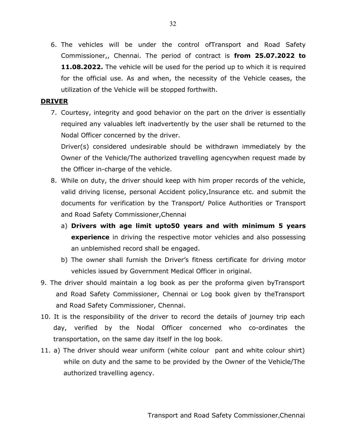6. The vehicles will be under the control ofTransport and Road Safety Commissioner,, Chennai. The period of contract is from 25.07.2022 to **11.08.2022.** The vehicle will be used for the period up to which it is required for the official use. As and when, the necessity of the Vehicle ceases, the utilization of the Vehicle will be stopped forthwith.

## DRIVER

7. Courtesy, integrity and good behavior on the part on the driver is essentially required any valuables left inadvertently by the user shall be returned to the Nodal Officer concerned by the driver.

Driver(s) considered undesirable should be withdrawn immediately by the Owner of the Vehicle/The authorized travelling agencywhen request made by the Officer in-charge of the vehicle.

- 8. While on duty, the driver should keep with him proper records of the vehicle, valid driving license, personal Accident policy,Insurance etc. and submit the documents for verification by the Transport/ Police Authorities or Transport and Road Safety Commissioner,Chennai
	- a) Drivers with age limit upto50 years and with minimum 5 years **experience** in driving the respective motor vehicles and also possessing an unblemished record shall be engaged.
	- b) The owner shall furnish the Driver's fitness certificate for driving motor vehicles issued by Government Medical Officer in original.
- 9. The driver should maintain a log book as per the proforma given byTransport and Road Safety Commissioner, Chennai or Log book given by theTransport and Road Safety Commissioner, Chennai.
- 10. It is the responsibility of the driver to record the details of journey trip each day, verified by the Nodal Officer concerned who co-ordinates the transportation, on the same day itself in the log book.
- 11. a) The driver should wear uniform (white colour pant and white colour shirt) while on duty and the same to be provided by the Owner of the Vehicle/The authorized travelling agency.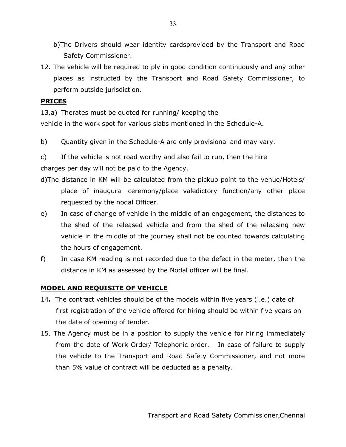b)The Drivers should wear identity cardsprovided by the Transport and Road Safety Commissioner.

12. The vehicle will be required to ply in good condition continuously and any other places as instructed by the Transport and Road Safety Commissioner, to perform outside jurisdiction.

## PRICES

13.a) Therates must be quoted for running/ keeping the

vehicle in the work spot for various slabs mentioned in the Schedule-A.

b) Quantity given in the Schedule-A are only provisional and may vary.

c) If the vehicle is not road worthy and also fail to run, then the hire charges per day will not be paid to the Agency.

- d)The distance in KM will be calculated from the pickup point to the venue/Hotels/ place of inaugural ceremony/place valedictory function/any other place requested by the nodal Officer.
- e) In case of change of vehicle in the middle of an engagement, the distances to the shed of the released vehicle and from the shed of the releasing new vehicle in the middle of the journey shall not be counted towards calculating the hours of engagement.
- f) In case KM reading is not recorded due to the defect in the meter, then the distance in KM as assessed by the Nodal officer will be final.

## MODEL AND REQUISITE OF VEHICLE

- 14. The contract vehicles should be of the models within five years (i.e.) date of first registration of the vehicle offered for hiring should be within five years on the date of opening of tender.
- 15. The Agency must be in a position to supply the vehicle for hiring immediately from the date of Work Order/ Telephonic order. In case of failure to supply the vehicle to the Transport and Road Safety Commissioner, and not more than 5% value of contract will be deducted as a penalty.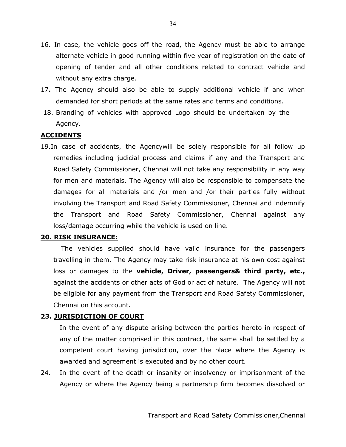- 16. In case, the vehicle goes off the road, the Agency must be able to arrange alternate vehicle in good running within five year of registration on the date of opening of tender and all other conditions related to contract vehicle and without any extra charge.
- 17. The Agency should also be able to supply additional vehicle if and when demanded for short periods at the same rates and terms and conditions.
- 18. Branding of vehicles with approved Logo should be undertaken by the Agency.

## **ACCIDENTS**

19.In case of accidents, the Agencywill be solely responsible for all follow up remedies including judicial process and claims if any and the Transport and Road Safety Commissioner, Chennai will not take any responsibility in any way for men and materials. The Agency will also be responsible to compensate the damages for all materials and /or men and /or their parties fully without involving the Transport and Road Safety Commissioner, Chennai and indemnify the Transport and Road Safety Commissioner, Chennai against any loss/damage occurring while the vehicle is used on line.

## 20. RISK INSURANCE:

The vehicles supplied should have valid insurance for the passengers travelling in them. The Agency may take risk insurance at his own cost against loss or damages to the **vehicle, Driver, passengers& third party, etc.,** against the accidents or other acts of God or act of nature. The Agency will not be eligible for any payment from the Transport and Road Safety Commissioner, Chennai on this account.

## 23. JURISDICTION OF COURT

In the event of any dispute arising between the parties hereto in respect of any of the matter comprised in this contract, the same shall be settled by a competent court having jurisdiction, over the place where the Agency is awarded and agreement is executed and by no other court.

24. In the event of the death or insanity or insolvency or imprisonment of the Agency or where the Agency being a partnership firm becomes dissolved or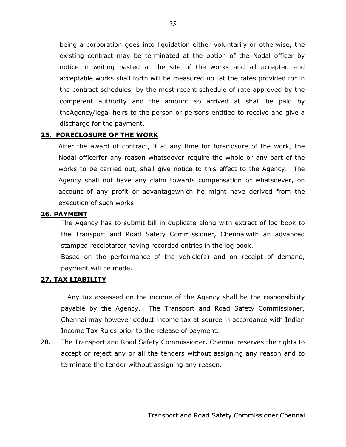being a corporation goes into liquidation either voluntarily or otherwise, the existing contract may be terminated at the option of the Nodal officer by notice in writing pasted at the site of the works and all accepted and acceptable works shall forth will be measured up at the rates provided for in the contract schedules, by the most recent schedule of rate approved by the competent authority and the amount so arrived at shall be paid by theAgency/legal heirs to the person or persons entitled to receive and give a discharge for the payment.

## 25. FORECLOSURE OF THE WORK

After the award of contract, if at any time for foreclosure of the work, the Nodal officerfor any reason whatsoever require the whole or any part of the works to be carried out, shall give notice to this effect to the Agency. The Agency shall not have any claim towards compensation or whatsoever, on account of any profit or advantagewhich he might have derived from the execution of such works.

## 26. PAYMENT

The Agency has to submit bill in duplicate along with extract of log book to the Transport and Road Safety Commissioner, Chennaiwith an advanced stamped receiptafter having recorded entries in the log book.

Based on the performance of the vehicle(s) and on receipt of demand, payment will be made.

## 27. TAX LIABILITY

Any tax assessed on the income of the Agency shall be the responsibility payable by the Agency. The Transport and Road Safety Commissioner, Chennai may however deduct income tax at source in accordance with Indian Income Tax Rules prior to the release of payment.

28. The Transport and Road Safety Commissioner, Chennai reserves the rights to accept or reject any or all the tenders without assigning any reason and to terminate the tender without assigning any reason.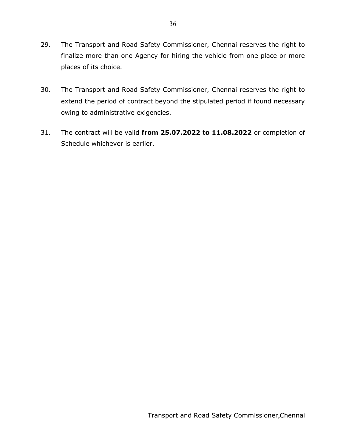- 29. The Transport and Road Safety Commissioner, Chennai reserves the right to finalize more than one Agency for hiring the vehicle from one place or more places of its choice.
- 30. The Transport and Road Safety Commissioner, Chennai reserves the right to extend the period of contract beyond the stipulated period if found necessary owing to administrative exigencies.
- 31. The contract will be valid from 25.07.2022 to 11.08.2022 or completion of Schedule whichever is earlier.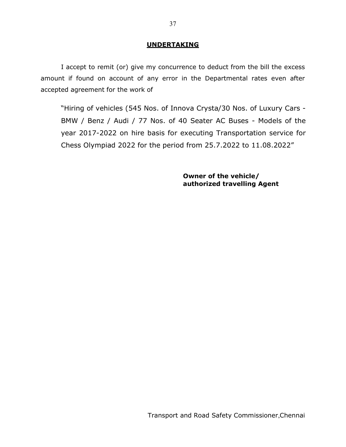## UNDERTAKING

I accept to remit (or) give my concurrence to deduct from the bill the excess amount if found on account of any error in the Departmental rates even after accepted agreement for the work of

"Hiring of vehicles (545 Nos. of Innova Crysta/30 Nos. of Luxury Cars - BMW / Benz / Audi / 77 Nos. of 40 Seater AC Buses - Models of the year 2017-2022 on hire basis for executing Transportation service for Chess Olympiad 2022 for the period from 25.7.2022 to 11.08.2022"

> Owner of the vehicle/ authorized travelling Agent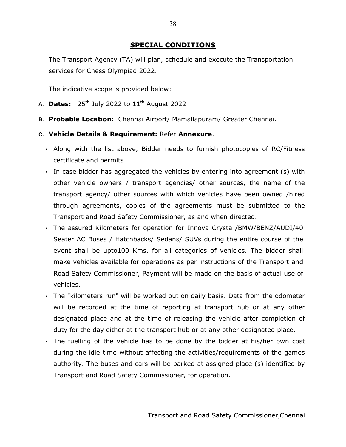## SPECIAL CONDITIONS

The Transport Agency (TA) will plan, schedule and execute the Transportation services for Chess Olympiad 2022.

The indicative scope is provided below:

- A. **Dates:**  $25^{th}$  July 2022 to  $11^{th}$  August 2022
- B. Probable Location: Chennai Airport/ Mamallapuram/ Greater Chennai.
- C. Vehicle Details & Requirement: Refer Annexure.
	- Along with the list above, Bidder needs to furnish photocopies of RC/Fitness certificate and permits.
	- In case bidder has aggregated the vehicles by entering into agreement (s) with other vehicle owners / transport agencies/ other sources, the name of the transport agency/ other sources with which vehicles have been owned /hired through agreements, copies of the agreements must be submitted to the Transport and Road Safety Commissioner, as and when directed.
	- The assured Kilometers for operation for Innova Crysta /BMW/BENZ/AUDI/40 Seater AC Buses / Hatchbacks/ Sedans/ SUVs during the entire course of the event shall be upto100 Kms. for all categories of vehicles. The bidder shall make vehicles available for operations as per instructions of the Transport and Road Safety Commissioner, Payment will be made on the basis of actual use of vehicles.
	- The "kilometers run" will be worked out on daily basis. Data from the odometer will be recorded at the time of reporting at transport hub or at any other designated place and at the time of releasing the vehicle after completion of duty for the day either at the transport hub or at any other designated place.
	- The fuelling of the vehicle has to be done by the bidder at his/her own cost during the idle time without affecting the activities/requirements of the games authority. The buses and cars will be parked at assigned place (s) identified by Transport and Road Safety Commissioner, for operation.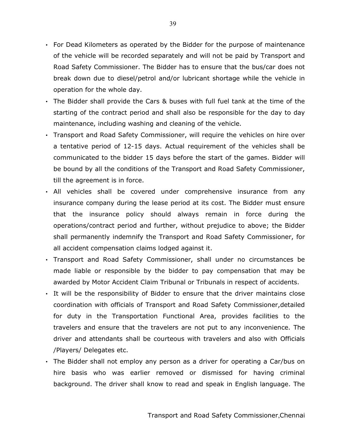- For Dead Kilometers as operated by the Bidder for the purpose of maintenance of the vehicle will be recorded separately and will not be paid by Transport and Road Safety Commissioner. The Bidder has to ensure that the bus/car does not break down due to diesel/petrol and/or lubricant shortage while the vehicle in operation for the whole day.
- The Bidder shall provide the Cars & buses with full fuel tank at the time of the starting of the contract period and shall also be responsible for the day to day maintenance, including washing and cleaning of the vehicle.
- Transport and Road Safety Commissioner, will require the vehicles on hire over a tentative period of 12-15 days. Actual requirement of the vehicles shall be communicated to the bidder 15 days before the start of the games. Bidder will be bound by all the conditions of the Transport and Road Safety Commissioner, till the agreement is in force.
- All vehicles shall be covered under comprehensive insurance from any insurance company during the lease period at its cost. The Bidder must ensure that the insurance policy should always remain in force during the operations/contract period and further, without prejudice to above; the Bidder shall permanently indemnify the Transport and Road Safety Commissioner, for all accident compensation claims lodged against it.
- Transport and Road Safety Commissioner, shall under no circumstances be made liable or responsible by the bidder to pay compensation that may be awarded by Motor Accident Claim Tribunal or Tribunals in respect of accidents.
- It will be the responsibility of Bidder to ensure that the driver maintains close coordination with officials of Transport and Road Safety Commissioner,detailed for duty in the Transportation Functional Area, provides facilities to the travelers and ensure that the travelers are not put to any inconvenience. The driver and attendants shall be courteous with travelers and also with Officials /Players/ Delegates etc.
- The Bidder shall not employ any person as a driver for operating a Car/bus on hire basis who was earlier removed or dismissed for having criminal background. The driver shall know to read and speak in English language. The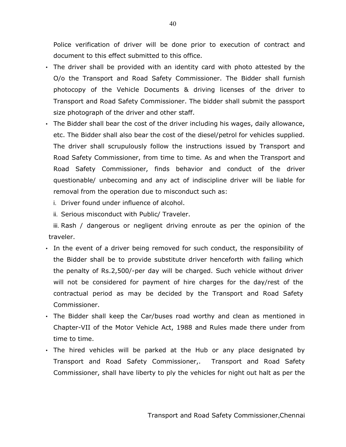Police verification of driver will be done prior to execution of contract and document to this effect submitted to this office.

- The driver shall be provided with an identity card with photo attested by the O/o the Transport and Road Safety Commissioner. The Bidder shall furnish photocopy of the Vehicle Documents & driving licenses of the driver to Transport and Road Safety Commissioner. The bidder shall submit the passport size photograph of the driver and other staff.
- The Bidder shall bear the cost of the driver including his wages, daily allowance, etc. The Bidder shall also bear the cost of the diesel/petrol for vehicles supplied. The driver shall scrupulously follow the instructions issued by Transport and Road Safety Commissioner, from time to time. As and when the Transport and Road Safety Commissioner, finds behavior and conduct of the driver questionable/ unbecoming and any act of indiscipline driver will be liable for removal from the operation due to misconduct such as:
	- i. Driver found under influence of alcohol.
	- ii. Serious misconduct with Public/ Traveler.

iii. Rash / dangerous or negligent driving enroute as per the opinion of the traveler.

- In the event of a driver being removed for such conduct, the responsibility of the Bidder shall be to provide substitute driver henceforth with failing which the penalty of Rs.2,500/-per day will be charged. Such vehicle without driver will not be considered for payment of hire charges for the day/rest of the contractual period as may be decided by the Transport and Road Safety Commissioner.
- The Bidder shall keep the Car/buses road worthy and clean as mentioned in Chapter-VII of the Motor Vehicle Act, 1988 and Rules made there under from time to time.
- The hired vehicles will be parked at the Hub or any place designated by Transport and Road Safety Commissioner,. Transport and Road Safety Commissioner, shall have liberty to ply the vehicles for night out halt as per the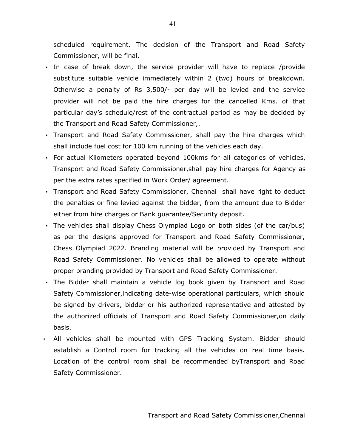scheduled requirement. The decision of the Transport and Road Safety Commissioner, will be final.

- In case of break down, the service provider will have to replace /provide substitute suitable vehicle immediately within 2 (two) hours of breakdown. Otherwise a penalty of Rs 3,500/- per day will be levied and the service provider will not be paid the hire charges for the cancelled Kms. of that particular day's schedule/rest of the contractual period as may be decided by the Transport and Road Safety Commissioner,.
- Transport and Road Safety Commissioner, shall pay the hire charges which shall include fuel cost for 100 km running of the vehicles each day.
- For actual Kilometers operated beyond 100kms for all categories of vehicles, Transport and Road Safety Commissioner,shall pay hire charges for Agency as per the extra rates specified in Work Order/ agreement.
- Transport and Road Safety Commissioner, Chennai shall have right to deduct the penalties or fine levied against the bidder, from the amount due to Bidder either from hire charges or Bank guarantee/Security deposit.
- The vehicles shall display Chess Olympiad Logo on both sides (of the car/bus) as per the designs approved for Transport and Road Safety Commissioner, Chess Olympiad 2022. Branding material will be provided by Transport and Road Safety Commissioner. No vehicles shall be allowed to operate without proper branding provided by Transport and Road Safety Commissioner.
- The Bidder shall maintain a vehicle log book given by Transport and Road Safety Commissioner,indicating date-wise operational particulars, which should be signed by drivers, bidder or his authorized representative and attested by the authorized officials of Transport and Road Safety Commissioner,on daily basis.
- All vehicles shall be mounted with GPS Tracking System. Bidder should establish a Control room for tracking all the vehicles on real time basis. Location of the control room shall be recommended byTransport and Road Safety Commissioner.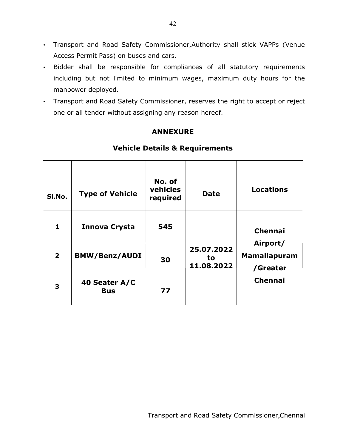- Transport and Road Safety Commissioner,Authority shall stick VAPPs (Venue Access Permit Pass) on buses and cars.
- Bidder shall be responsible for compliances of all statutory requirements including but not limited to minimum wages, maximum duty hours for the manpower deployed.
- Transport and Road Safety Commissioner, reserves the right to accept or reject one or all tender without assigning any reason hereof.

## ANNEXURE

| SI.No.                  | <b>Type of Vehicle</b>      | No. of<br>vehicles<br>required | <b>Date</b>                    | <b>Locations</b>                            |  |  |
|-------------------------|-----------------------------|--------------------------------|--------------------------------|---------------------------------------------|--|--|
| 1                       | <b>Innova Crysta</b>        | 545                            |                                | <b>Chennai</b>                              |  |  |
| $\overline{\mathbf{2}}$ | <b>BMW/Benz/AUDI</b>        | 30                             | 25.07.2022<br>to<br>11.08.2022 | Airport/<br><b>Mamallapuram</b><br>/Greater |  |  |
| 3                       | 40 Seater A/C<br><b>Bus</b> | 77                             |                                | <b>Chennai</b>                              |  |  |

## Vehicle Details & Requirements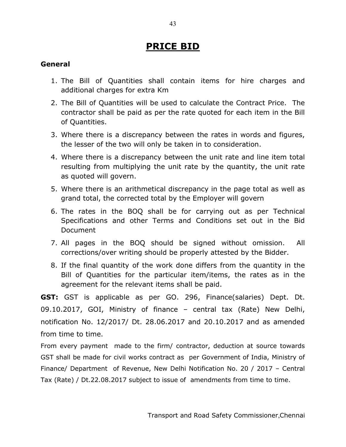# PRICE BID

## General

- 1. The Bill of Quantities shall contain items for hire charges and additional charges for extra Km
- 2. The Bill of Quantities will be used to calculate the Contract Price. The contractor shall be paid as per the rate quoted for each item in the Bill of Quantities.
- 3. Where there is a discrepancy between the rates in words and figures, the lesser of the two will only be taken in to consideration.
- 4. Where there is a discrepancy between the unit rate and line item total resulting from multiplying the unit rate by the quantity, the unit rate as quoted will govern.
- 5. Where there is an arithmetical discrepancy in the page total as well as grand total, the corrected total by the Employer will govern
- 6. The rates in the BOQ shall be for carrying out as per Technical Specifications and other Terms and Conditions set out in the Bid Document
- 7. All pages in the BOQ should be signed without omission. All corrections/over writing should be properly attested by the Bidder.
- 8. If the final quantity of the work done differs from the quantity in the Bill of Quantities for the particular item/items, the rates as in the agreement for the relevant items shall be paid.

GST: GST is applicable as per GO. 296, Finance(salaries) Dept. Dt. 09.10.2017, GOI, Ministry of finance – central tax (Rate) New Delhi, notification No. 12/2017/ Dt. 28.06.2017 and 20.10.2017 and as amended from time to time.

From every payment made to the firm/ contractor, deduction at source towards GST shall be made for civil works contract as per Government of India, Ministry of Finance/ Department of Revenue, New Delhi Notification No. 20 / 2017 – Central Tax (Rate) / Dt.22.08.2017 subject to issue of amendments from time to time.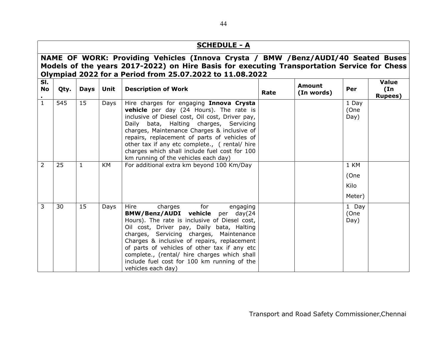## SCHEDULE - A

## NAME OF WORK: Providing Vehicles (Innova Crysta / BMW /Benz/AUDI/40 Seated Buses Models of the years 2017-2022) on Hire Basis for executing Transportation Service for Chess Olympiad 2022 for a Period from 25.07.2022 to 11.08.2022

| SI.<br>No<br>$\bullet$ | Qty. | <b>Days</b> | Unit | <b>Description of Work</b>                                                                                                                                                                                                                                                                                                                                                                                                          | Rate | <b>Amount</b><br>(In words) | Per                            | Value<br>(In<br><b>Rupees</b> ) |
|------------------------|------|-------------|------|-------------------------------------------------------------------------------------------------------------------------------------------------------------------------------------------------------------------------------------------------------------------------------------------------------------------------------------------------------------------------------------------------------------------------------------|------|-----------------------------|--------------------------------|---------------------------------|
| $\mathbf{1}$           | 545  | 15          | Days | Hire charges for engaging Innova Crysta<br><b>vehicle</b> per day (24 Hours). The rate is<br>inclusive of Diesel cost, Oil cost, Driver pay,<br>Daily bata, Halting charges, Servicing<br>charges, Maintenance Charges & inclusive of<br>repairs, replacement of parts of vehicles of<br>other tax if any etc complete., (rental/ hire<br>charges which shall include fuel cost for 100<br>km running of the vehicles each day)     |      |                             | 1 Day<br>(One<br>Day)          |                                 |
| $\overline{2}$         | 25   |             | KM   | For additional extra km beyond 100 Km/Day                                                                                                                                                                                                                                                                                                                                                                                           |      |                             | 1 KM<br>(One<br>Kilo<br>Meter) |                                 |
| 3                      | 30   | 15          | Days | Hire<br>for<br>charges<br>engaging<br>BMW/Benz/AUDI vehicle per day(24<br>Hours). The rate is inclusive of Diesel cost,<br>Oil cost, Driver pay, Daily bata, Halting<br>charges, Servicing charges, Maintenance<br>Charges & inclusive of repairs, replacement<br>of parts of vehicles of other tax if any etc<br>complete., (rental/ hire charges which shall<br>include fuel cost for 100 km running of the<br>vehicles each day) |      |                             | 1 Day<br>(One<br>Day)          |                                 |